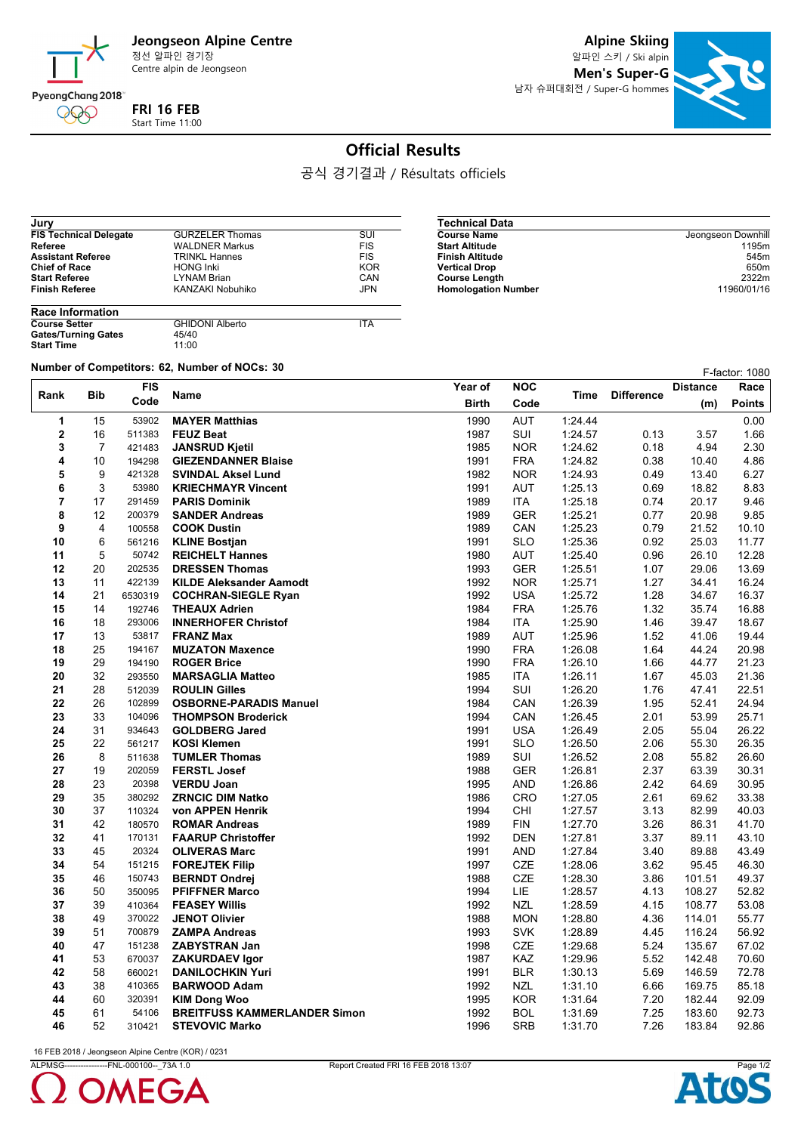

Centre alpin de Jeongseon

**Alpine Skiing**

알파인 스키 / Ski alpin **Men's Super-G** 남자 슈퍼대회전 / Super-G hommes



## **Official Results**

공식 경기결과 / Résultats officiels

 $\overline{\phantom{0}}$ 

| Jury                          |                        |            |
|-------------------------------|------------------------|------------|
| <b>FIS Technical Delegate</b> | <b>GURZELER Thomas</b> | SUI        |
| Referee                       | <b>WALDNER Markus</b>  | <b>FIS</b> |
| <b>Assistant Referee</b>      | <b>TRINKL Hannes</b>   | <b>FIS</b> |
| <b>Chief of Race</b>          | <b>HONG Inki</b>       | <b>KOR</b> |
| <b>Start Referee</b>          | <b>LYNAM Brian</b>     | CAN        |
| <b>Finish Referee</b>         | KANZAKI Nobuhiko       | <b>JPN</b> |
|                               |                        |            |

| Technical Data             |                    |
|----------------------------|--------------------|
| <b>Course Name</b>         | Jeongseon Downhill |
| <b>Start Altitude</b>      | 1195m              |
| Finish Altitude            | 545m               |
| <b>Vertical Drop</b>       | 650 <sub>m</sub>   |
| <b>Course Length</b>       | 2322m              |
| <b>Homologation Number</b> | 11960/01/16        |

| <b>Race Information</b>    |                        |            |  |  |  |
|----------------------------|------------------------|------------|--|--|--|
| <b>Course Setter</b>       | <b>GHIDONI Alberto</b> | <b>ITA</b> |  |  |  |
| <b>Gates/Turning Gates</b> | 45/40                  |            |  |  |  |
| <b>Start Time</b>          | 11:00                  |            |  |  |  |

**Number of Competitors: 62, Number of NOCs: 30 F-factor: 1080 F-factor: 1080** 

|          |                | <b>FIS</b>       |                                                    | Year of      | <b>NOC</b>        |                    |                   | <b>Distance</b> | Race           |
|----------|----------------|------------------|----------------------------------------------------|--------------|-------------------|--------------------|-------------------|-----------------|----------------|
| Rank     | <b>Bib</b>     | Code             | <b>Name</b>                                        | <b>Birth</b> | Code              | Time               | <b>Difference</b> | (m)             | <b>Points</b>  |
| 1        | 15             | 53902            | <b>MAYER Matthias</b>                              | 1990         | <b>AUT</b>        | 1.24.44            |                   |                 | 0.00           |
| 2        | 16             | 511383           | <b>FEUZ Beat</b>                                   | 1987         | SUI               | 1:24.57            | 0.13              | 3.57            | 1.66           |
| 3        | $\overline{7}$ | 421483           | <b>JANSRUD Kjetil</b>                              | 1985         | <b>NOR</b>        | 1:24.62            | 0.18              | 4.94            | 2.30           |
| 4        | 10             | 194298           | <b>GIEZENDANNER Blaise</b>                         | 1991         | <b>FRA</b>        | 1:24.82            | 0.38              | 10.40           | 4.86           |
| 5        | 9              | 421328           | <b>SVINDAL Aksel Lund</b>                          | 1982         | <b>NOR</b>        | 1:24.93            | 0.49              | 13.40           | 6.27           |
| 6        | 3              | 53980            | <b>KRIECHMAYR Vincent</b>                          | 1991         | <b>AUT</b>        | 1:25.13            | 0.69              | 18.82           | 8.83           |
| 7        | 17             | 291459           | <b>PARIS Dominik</b>                               | 1989         | ITA               | 1:25.18            | 0.74              | 20.17           | 9.46           |
| 8        | 12             | 200379           | <b>SANDER Andreas</b>                              | 1989         | <b>GER</b>        | 1:25.21            | 0.77              | 20.98           | 9.85           |
| 9        | 4              | 100558           | <b>COOK Dustin</b>                                 | 1989         | CAN               | 1.25.23            | 0.79              | 21.52           | 10.10          |
| 10       | 6              | 561216           | <b>KLINE Bostjan</b>                               | 1991         | <b>SLO</b>        | 1.25.36            | 0.92              | 25.03           | 11.77          |
| 11       | 5              | 50742            | <b>REICHELT Hannes</b>                             | 1980         | <b>AUT</b>        | 1:25.40            | 0.96              | 26.10           | 12.28          |
| 12       | 20             | 202535           | <b>DRESSEN Thomas</b>                              | 1993         | <b>GER</b>        | 1:25.51            | 1.07              | 29.06           | 13.69          |
| 13       | 11             | 422139           | <b>KILDE Aleksander Aamodt</b>                     | 1992         | <b>NOR</b>        | 1:25.71            | 1.27              | 34.41           | 16.24          |
| 14       | 21             | 6530319          | <b>COCHRAN-SIEGLE Ryan</b>                         | 1992         | <b>USA</b>        | 1:25.72            | 1.28              | 34.67           | 16.37          |
| 15       | 14             | 192746           | <b>THEAUX Adrien</b>                               | 1984         | <b>FRA</b>        | 1:25.76            | 1.32              | 35.74           | 16.88          |
| 16       | 18             | 293006           | <b>INNERHOFER Christof</b>                         | 1984         | <b>ITA</b>        | 1:25.90            | 1.46              | 39.47           | 18.67          |
| 17       | 13             | 53817            | <b>FRANZ Max</b>                                   | 1989         | <b>AUT</b>        | 1.25.96            | 1.52              | 41.06           | 19.44          |
| 18       | 25             | 194167           | <b>MUZATON Maxence</b>                             | 1990         | <b>FRA</b>        | 1:26.08            | 1.64              | 44.24           | 20.98          |
| 19       | 29             | 194190           | <b>ROGER Brice</b>                                 | 1990         | <b>FRA</b>        | 1:26.10            | 1.66              | 44.77           | 21.23          |
| 20       | 32             | 293550           | <b>MARSAGLIA Matteo</b>                            | 1985         | <b>ITA</b>        | 1:26.11            | 1.67              | 45.03           | 21.36          |
| 21       | 28             | 512039           | <b>ROULIN Gilles</b>                               | 1994         | <b>SUI</b>        | 1:26.20            | 1.76              | 47.41           | 22.51          |
| 22       | 26             | 102899           | <b>OSBORNE-PARADIS Manuel</b>                      | 1984         | CAN               | 1:26.39            | 1.95              | 52.41           | 24.94          |
| 23<br>24 | 33<br>31       | 104096<br>934643 | <b>THOMPSON Broderick</b><br><b>GOLDBERG Jared</b> | 1994<br>1991 | CAN<br><b>USA</b> | 1.26.45<br>1.26.49 | 2.01<br>2.05      | 53.99<br>55.04  | 25.71<br>26.22 |
| 25       | 22             | 561217           | <b>KOSI Klemen</b>                                 | 1991         | <b>SLO</b>        | 1:26.50            | 2.06              | 55.30           | 26.35          |
| 26       | 8              | 511638           | <b>TUMLER Thomas</b>                               | 1989         | SUI               | 1:26.52            | 2.08              | 55.82           | 26.60          |
| 27       | 19             | 202059           | <b>FERSTL Josef</b>                                | 1988         | <b>GER</b>        | 1:26.81            | 2.37              | 63.39           | 30.31          |
| 28       | 23             | 20398            | <b>VERDU Joan</b>                                  | 1995         | <b>AND</b>        | 1:26.86            | 2.42              | 64.69           | 30.95          |
| 29       | 35             | 380292           | <b>ZRNCIC DIM Natko</b>                            | 1986         | <b>CRO</b>        | 1:27.05            | 2.61              | 69.62           | 33.38          |
| 30       | 37             | 110324           | von APPEN Henrik                                   | 1994         | CHI               | 1.27.57            | 3.13              | 82.99           | 40.03          |
| 31       | 42             | 180570           | <b>ROMAR Andreas</b>                               | 1989         | <b>FIN</b>        | 1:27.70            | 3.26              | 86.31           | 41.70          |
| 32       | 41             | 170131           | <b>FAARUP Christoffer</b>                          | 1992         | <b>DEN</b>        | 1:27.81            | 3.37              | 89.11           | 43.10          |
| 33       | 45             | 20324            | <b>OLIVERAS Marc</b>                               | 1991         | <b>AND</b>        | 1:27.84            | 3.40              | 89.88           | 43.49          |
| 34       | 54             | 151215           | <b>FOREJTEK Filip</b>                              | 1997         | <b>CZE</b>        | 1:28.06            | 3.62              | 95.45           | 46.30          |
| 35       | 46             | 150743           | <b>BERNDT Ondrej</b>                               | 1988         | <b>CZE</b>        | 1:28.30            | 3.86              | 101.51          | 49.37          |
| 36       | 50             | 350095           | <b>PFIFFNER Marco</b>                              | 1994         | <b>LIE</b>        | 1:28.57            | 4.13              | 108.27          | 52.82          |
| 37       | 39             | 410364           | <b>FEASEY Willis</b>                               | 1992         | <b>NZL</b>        | 1:28.59            | 4.15              | 108.77          | 53.08          |
| 38       | 49             | 370022           | <b>JENOT Olivier</b>                               | 1988         | <b>MON</b>        | 1.28.80            | 4.36              | 114.01          | 55.77          |
| 39       | 51             | 700879           | <b>ZAMPA Andreas</b>                               | 1993         | <b>SVK</b>        | 1:28.89            | 4.45              | 116.24          | 56.92          |
| 40       | 47             | 151238           | <b>ZABYSTRAN Jan</b>                               | 1998         | CZE               | 1:29.68            | 5.24              | 135.67          | 67.02          |
| 41       | 53             | 670037           | <b>ZAKURDAEV Igor</b>                              | 1987         | <b>KAZ</b>        | 1:29.96            | 5.52              | 142.48          | 70.60          |
| 42       | 58             | 660021           | <b>DANILOCHKIN Yuri</b>                            | 1991         | <b>BLR</b>        | 1:30.13            | 5.69              | 146.59          | 72.78          |
| 43       | 38             | 410365           | <b>BARWOOD Adam</b>                                | 1992         | <b>NZL</b>        | 1:31.10            | 6.66              | 169.75          | 85.18          |
| 44       | 60             | 320391           | <b>KIM Dong Woo</b>                                | 1995         | <b>KOR</b>        | 1:31.64            | 7.20              | 182.44          | 92.09          |
| 45       | 61             | 54106            | <b>BREITFUSS KAMMERLANDER Simon</b>                | 1992         | <b>BOL</b>        | 1:31.69            | 7.25              | 183.60          | 92.73          |
| 46       | 52             | 310421           | <b>STEVOVIC Marko</b>                              | 1996         | <b>SRB</b>        | 1:31.70            | 7.26              | 183.84          | 92.86          |

16 FEB 2018 / Jeongseon Alpine Centre (KOR) / 0231